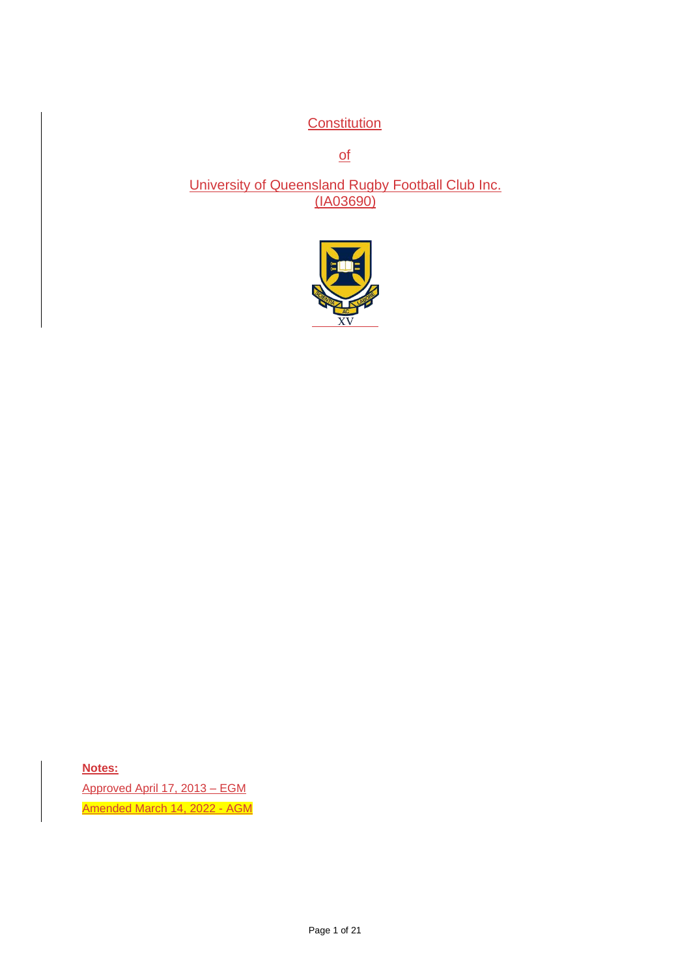**Constitution** 

of

University of Queensland Rugby Football Club Inc. (IA03690)



**Notes:** Approved April 17, 2013 – EGM Amended March 14, 2022 - AGM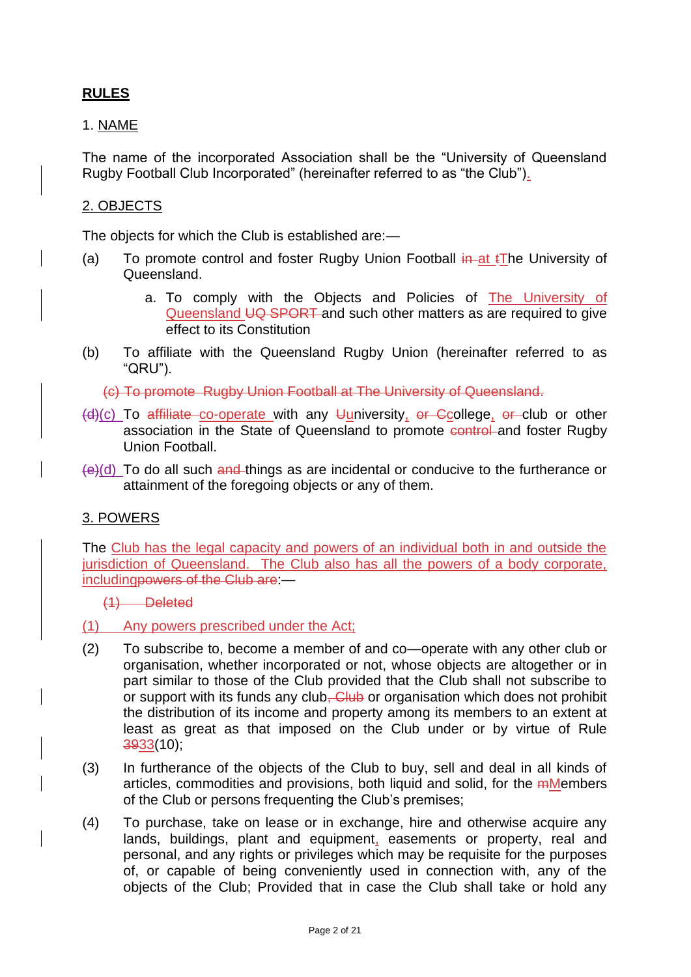## **RULES**

### 1. NAME

The name of the incorporated Association shall be the "University of Queensland Rugby Football Club Incorporated" (hereinafter referred to as "the Club").

### 2. OBJECTS

The objects for which the Club is established are:—

- (a) To promote control and foster Rugby Union Football  $\frac{1}{n}$  at  $\frac{1}{n}$  University of Queensland.
	- a. To comply with the Objects and Policies of **The University of** Queensland UQ SPORT and such other matters as are required to give effect to its Constitution
- (b) To affiliate with the Queensland Rugby Union (hereinafter referred to as "QRU").

(c) To promote Rugby Union Football at The University of Queensland.

- $(d)(c)$  To affiliate co-operate with any Uuniversity, or Ccollege, or club or other association in the State of Queensland to promote control and foster Rugby Union Football.
- $(e)(d)$  To do all such and things as are incidental or conducive to the furtherance or attainment of the foregoing objects or any of them.

## 3. POWERS

The Club has the legal capacity and powers of an individual both in and outside the jurisdiction of Queensland. The Club also has all the powers of a body corporate, includingpowers of the Club are:—

- (1) Deleted
- (1) Any powers prescribed under the Act;
- (2) To subscribe to, become a member of and co—operate with any other club or organisation, whether incorporated or not, whose objects are altogether or in part similar to those of the Club provided that the Club shall not subscribe to or support with its funds any club<del>. Club</del> or organisation which does not prohibit the distribution of its income and property among its members to an extent at least as great as that imposed on the Club under or by virtue of Rule 3933(10);
- (3) In furtherance of the objects of the Club to buy, sell and deal in all kinds of articles, commodities and provisions, both liquid and solid, for the *mMembers* of the Club or persons frequenting the Club's premises;
- (4) To purchase, take on lease or in exchange, hire and otherwise acquire any lands, buildings, plant and equipment, easements or property, real and personal, and any rights or privileges which may be requisite for the purposes of, or capable of being conveniently used in connection with, any of the objects of the Club; Provided that in case the Club shall take or hold any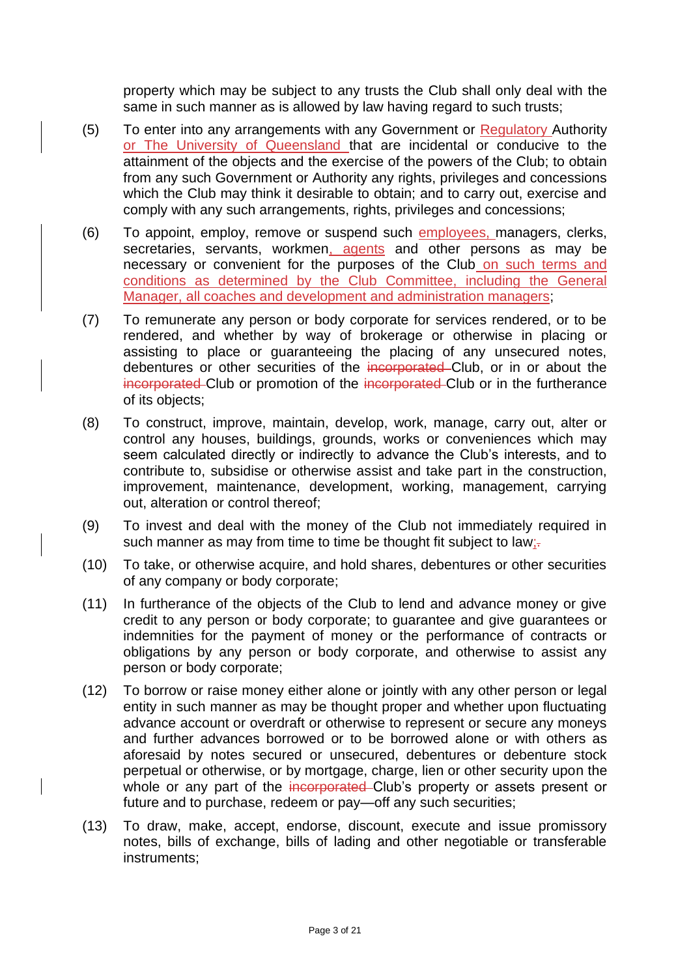property which may be subject to any trusts the Club shall only deal with the same in such manner as is allowed by law having regard to such trusts;

- (5) To enter into any arrangements with any Government or Regulatory Authority or The University of Queensland that are incidental or conducive to the attainment of the objects and the exercise of the powers of the Club; to obtain from any such Government or Authority any rights, privileges and concessions which the Club may think it desirable to obtain; and to carry out, exercise and comply with any such arrangements, rights, privileges and concessions;
- (6) To appoint, employ, remove or suspend such employees, managers, clerks, secretaries, servants, workmen, agents and other persons as may be necessary or convenient for the purposes of the Club on such terms and conditions as determined by the Club Committee, including the General Manager, all coaches and development and administration managers;
- (7) To remunerate any person or body corporate for services rendered, or to be rendered, and whether by way of brokerage or otherwise in placing or assisting to place or guaranteeing the placing of any unsecured notes, debentures or other securities of the incorporated Club, or in or about the incorporated Club or promotion of the incorporated Club or in the furtherance of its objects;
- (8) To construct, improve, maintain, develop, work, manage, carry out, alter or control any houses, buildings, grounds, works or conveniences which may seem calculated directly or indirectly to advance the Club's interests, and to contribute to, subsidise or otherwise assist and take part in the construction, improvement, maintenance, development, working, management, carrying out, alteration or control thereof;
- (9) To invest and deal with the money of the Club not immediately required in such manner as may from time to time be thought fit subject to law;-
- (10) To take, or otherwise acquire, and hold shares, debentures or other securities of any company or body corporate;
- (11) In furtherance of the objects of the Club to lend and advance money or give credit to any person or body corporate; to guarantee and give guarantees or indemnities for the payment of money or the performance of contracts or obligations by any person or body corporate, and otherwise to assist any person or body corporate;
- (12) To borrow or raise money either alone or jointly with any other person or legal entity in such manner as may be thought proper and whether upon fluctuating advance account or overdraft or otherwise to represent or secure any moneys and further advances borrowed or to be borrowed alone or with others as aforesaid by notes secured or unsecured, debentures or debenture stock perpetual or otherwise, or by mortgage, charge, lien or other security upon the whole or any part of the incorporated Club's property or assets present or future and to purchase, redeem or pay—off any such securities;
- (13) To draw, make, accept, endorse, discount, execute and issue promissory notes, bills of exchange, bills of lading and other negotiable or transferable instruments;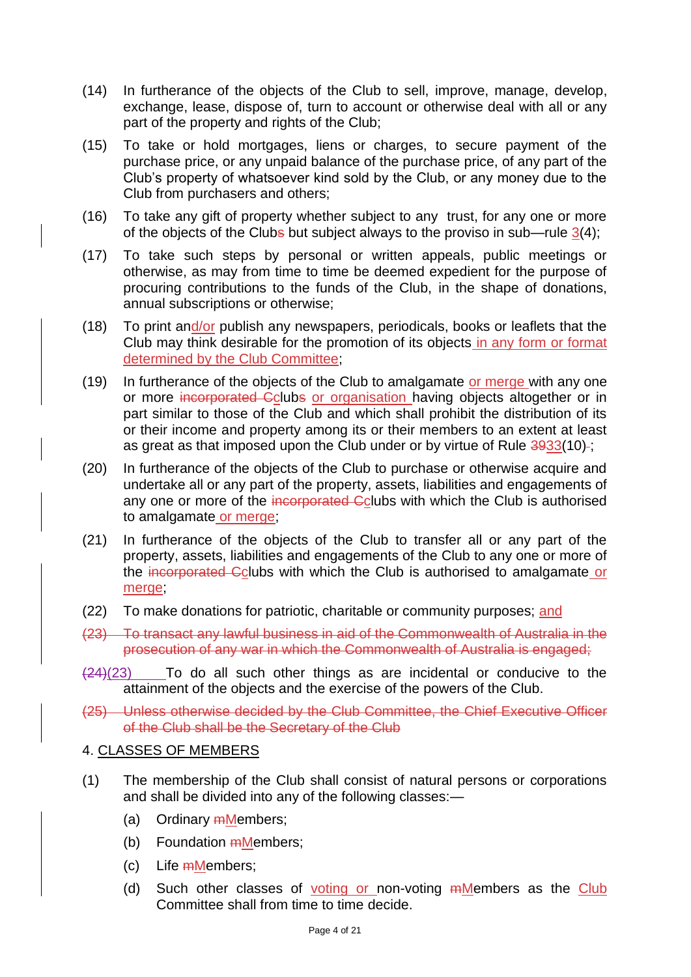- (14) In furtherance of the objects of the Club to sell, improve, manage, develop, exchange, lease, dispose of, turn to account or otherwise deal with all or any part of the property and rights of the Club:
- (15) To take or hold mortgages, liens or charges, to secure payment of the purchase price, or any unpaid balance of the purchase price, of any part of the Club's property of whatsoever kind sold by the Club, or any money due to the Club from purchasers and others;
- (16) To take any gift of property whether subject to any trust, for any one or more of the objects of the Clubs but subject always to the proviso in sub—rule  $3(4)$ ;
- (17) To take such steps by personal or written appeals, public meetings or otherwise, as may from time to time be deemed expedient for the purpose of procuring contributions to the funds of the Club, in the shape of donations, annual subscriptions or otherwise;
- (18) To print and/or publish any newspapers, periodicals, books or leaflets that the Club may think desirable for the promotion of its objects in any form or format determined by the Club Committee;
- (19) In furtherance of the objects of the Club to amalgamate or merge with any one or more incorporated Cclubs or organisation having objects altogether or in part similar to those of the Club and which shall prohibit the distribution of its or their income and property among its or their members to an extent at least as great as that imposed upon the Club under or by virtue of Rule 3933(10)-;
- (20) In furtherance of the objects of the Club to purchase or otherwise acquire and undertake all or any part of the property, assets, liabilities and engagements of any one or more of the incorporated Cclubs with which the Club is authorised to amalgamate or merge;
- (21) In furtherance of the objects of the Club to transfer all or any part of the property, assets, liabilities and engagements of the Club to any one or more of the incorporated Cclubs with which the Club is authorised to amalgamate or merge;
- (22) To make donations for patriotic, charitable or community purposes; and
- (23) To transact any lawful business in aid of the Commonwealth of Australia in the prosecution of any war in which the Commonwealth of Australia is engaged;
- $(24)(23)$  To do all such other things as are incidental or conducive to the attainment of the objects and the exercise of the powers of the Club.
- (25) Unless otherwise decided by the Club Committee, the Chief Executive Officer of the Club shall be the Secretary of the Club

### 4. CLASSES OF MEMBERS

- (1) The membership of the Club shall consist of natural persons or corporations and shall be divided into any of the following classes:—
	- (a) Ordinary mMembers;
	- (b) Foundation  $m$ Members;
	- (c) Life mMembers;
	- (d) Such other classes of voting or non-voting <del>m</del>Members as the Club Committee shall from time to time decide.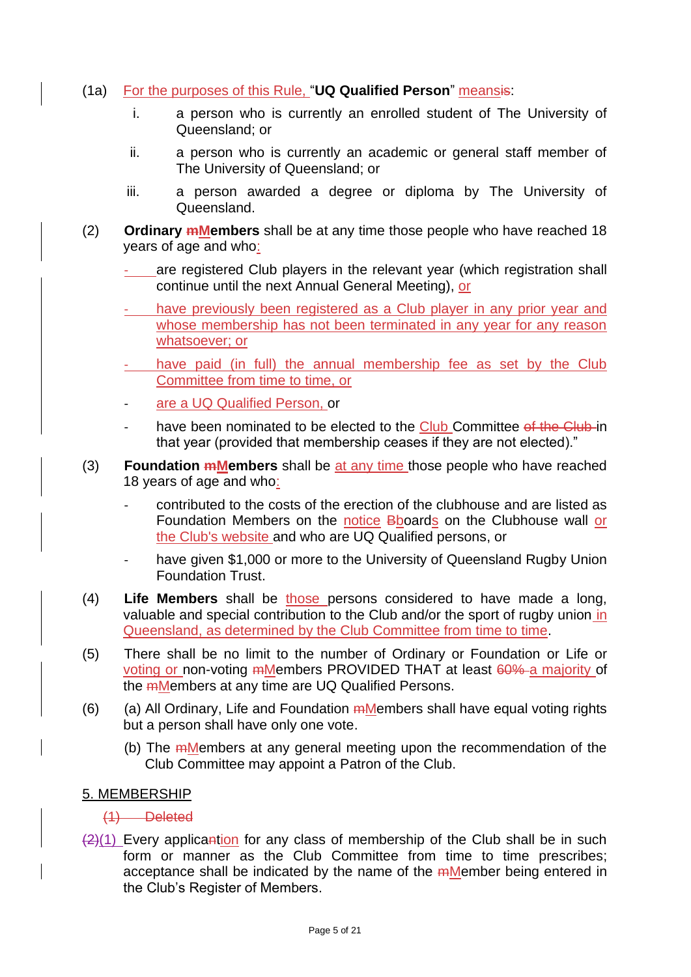- (1a) For the purposes of this Rule, "**UQ Qualified Person**" meansis:
	- i. a person who is currently an enrolled student of The University of Queensland; or
	- ii. a person who is currently an academic or general staff member of The University of Queensland; or
	- iii. a person awarded a degree or diploma by The University of Queensland.
- (2) **Ordinary mMembers** shall be at any time those people who have reached 18 years of age and who:
	- are registered Club players in the relevant year (which registration shall continue until the next Annual General Meeting), or
	- have previously been registered as a Club player in any prior year and whose membership has not been terminated in any year for any reason whatsoever; or
	- have paid (in full) the annual membership fee as set by the Club Committee from time to time, or
	- are a UQ Qualified Person, or
	- have been nominated to be elected to the Club Committee of the Club in that year (provided that membership ceases if they are not elected)."
- (3) **Foundation mMembers** shall be at any time those people who have reached 18 years of age and who:
	- contributed to the costs of the erection of the clubhouse and are listed as Foundation Members on the notice Bboards on the Clubhouse wall or the Club's website and who are UQ Qualified persons, or
	- have given \$1,000 or more to the University of Queensland Rugby Union Foundation Trust.
- (4) **Life Members** shall be those persons considered to have made a long, valuable and special contribution to the Club and/or the sport of rugby union in Queensland, as determined by the Club Committee from time to time.
- (5) There shall be no limit to the number of Ordinary or Foundation or Life or voting or non-voting mMembers PROVIDED THAT at least 60% a majority of the mMembers at any time are UQ Qualified Persons.
- (6) (a) All Ordinary, Life and Foundation  $m$ Members shall have equal voting rights but a person shall have only one vote.
	- (b) The mMembers at any general meeting upon the recommendation of the Club Committee may appoint a Patron of the Club.

## 5. MEMBERSHIP

## (1) Deleted

 $\frac{2}{1}$  Every applicantion for any class of membership of the Club shall be in such form or manner as the Club Committee from time to time prescribes; acceptance shall be indicated by the name of the mMember being entered in the Club's Register of Members.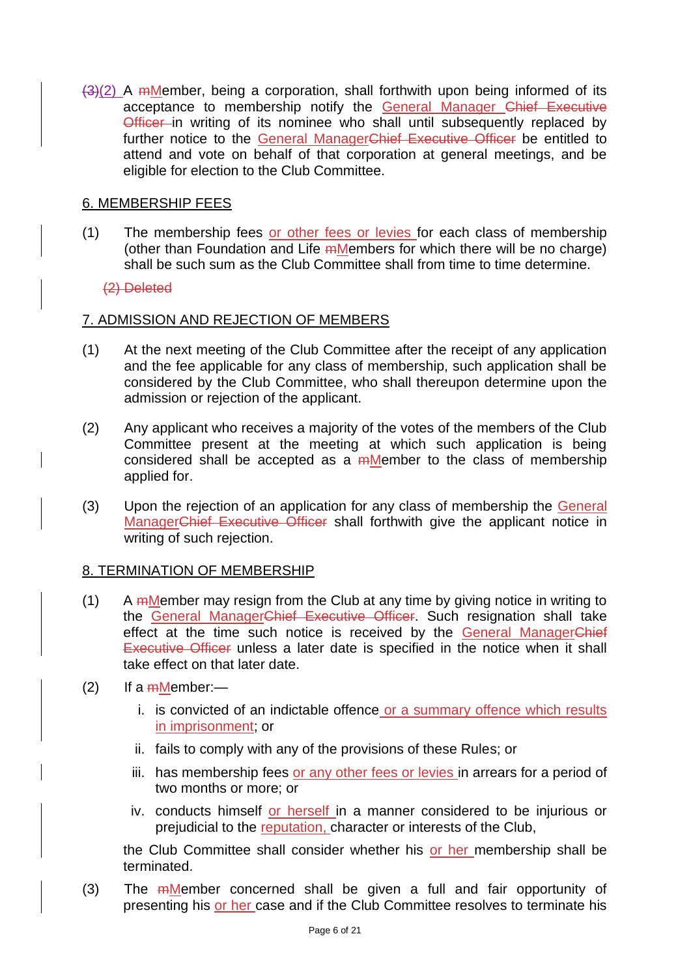$\frac{3(2)}{2}$  A mMember, being a corporation, shall forthwith upon being informed of its acceptance to membership notify the General Manager Chief Executive Officer in writing of its nominee who shall until subsequently replaced by further notice to the General ManagerChief Executive Officer be entitled to attend and vote on behalf of that corporation at general meetings, and be eligible for election to the Club Committee.

### 6. MEMBERSHIP FEES

(1) The membership fees or other fees or levies for each class of membership (other than Foundation and Life mMembers for which there will be no charge) shall be such sum as the Club Committee shall from time to time determine.

### (2) Deleted

### 7. ADMISSION AND REJECTION OF MEMBERS

- (1) At the next meeting of the Club Committee after the receipt of any application and the fee applicable for any class of membership, such application shall be considered by the Club Committee, who shall thereupon determine upon the admission or rejection of the applicant.
- (2) Any applicant who receives a majority of the votes of the members of the Club Committee present at the meeting at which such application is being considered shall be accepted as a mMember to the class of membership applied for.
- (3) Upon the rejection of an application for any class of membership the General ManagerChief Executive Officer shall forthwith give the applicant notice in writing of such rejection.

### 8. TERMINATION OF MEMBERSHIP

- (1) A  *Member may resign from the Club at any time by giving notice in writing to* the General ManagerChief Executive Officer. Such resignation shall take effect at the time such notice is received by the General ManagerChief Executive Officer unless a later date is specified in the notice when it shall take effect on that later date.
- (2) If a  $m$ Member:
	- i. is convicted of an indictable offence or a summary offence which results in imprisonment; or
	- ii. fails to comply with any of the provisions of these Rules; or
	- iii. has membership fees or any other fees or levies in arrears for a period of two months or more; or
	- iv. conducts himself or herself in a manner considered to be injurious or prejudicial to the reputation, character or interests of the Club,

the Club Committee shall consider whether his or her membership shall be terminated.

(3) The  *Member concerned shall be given a full and fair opportunity of* presenting his or her case and if the Club Committee resolves to terminate his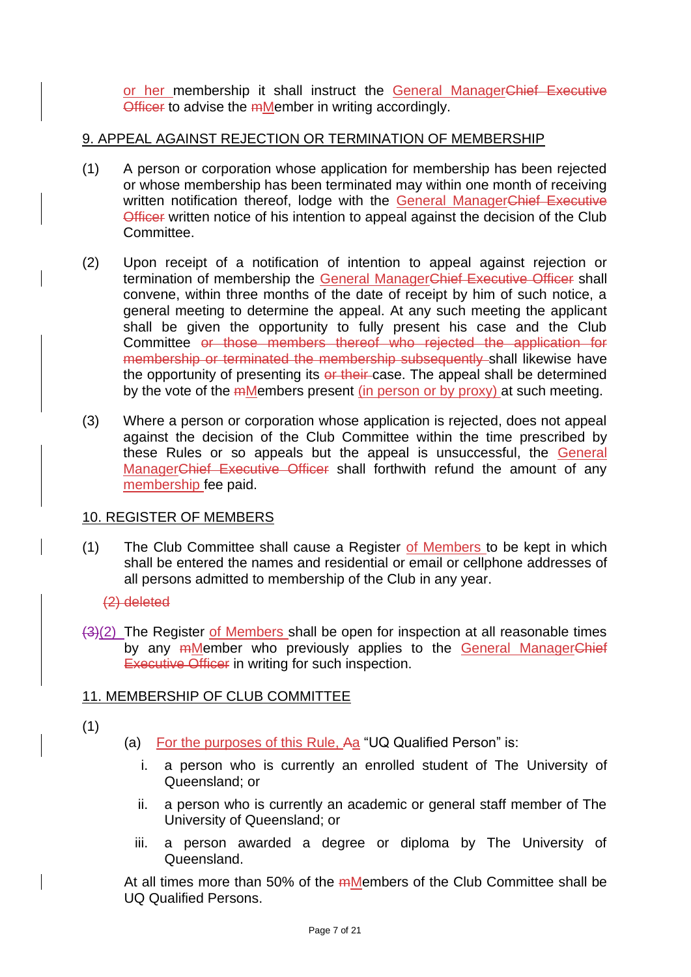or her membership it shall instruct the General ManagerChief Executive Officer to advise the mMember in writing accordingly.

### 9. APPEAL AGAINST REJECTION OR TERMINATION OF MEMBERSHIP

- (1) A person or corporation whose application for membership has been rejected or whose membership has been terminated may within one month of receiving written notification thereof, lodge with the General ManagerChief Executive Officer written notice of his intention to appeal against the decision of the Club Committee.
- (2) Upon receipt of a notification of intention to appeal against rejection or termination of membership the General ManagerChief Executive Officer shall convene, within three months of the date of receipt by him of such notice, a general meeting to determine the appeal. At any such meeting the applicant shall be given the opportunity to fully present his case and the Club Committee or those members thereof who rejected the application for membership or terminated the membership subsequently shall likewise have the opportunity of presenting its or their case. The appeal shall be determined by the vote of the mMembers present (in person or by proxy) at such meeting.
- (3) Where a person or corporation whose application is rejected, does not appeal against the decision of the Club Committee within the time prescribed by these Rules or so appeals but the appeal is unsuccessful, the General ManagerChief Executive Officer shall forthwith refund the amount of any membership fee paid.

### 10. REGISTER OF MEMBERS

(1) The Club Committee shall cause a Register of Members to be kept in which shall be entered the names and residential or email or cellphone addresses of all persons admitted to membership of the Club in any year.

### (2) deleted

 $\frac{1}{3}(2)$  The Register of Members shall be open for inspection at all reasonable times by any <del>m</del>Member who previously applies to the General ManagerChief Executive Officer in writing for such inspection.

### 11. MEMBERSHIP OF CLUB COMMITTEE

- (1)
- (a) For the purposes of this Rule, Aa "UQ Qualified Person" is:
	- i. a person who is currently an enrolled student of The University of Queensland; or
	- ii. a person who is currently an academic or general staff member of The University of Queensland; or
	- iii. a person awarded a degree or diploma by The University of Queensland.

At all times more than 50% of the mMembers of the Club Committee shall be UQ Qualified Persons.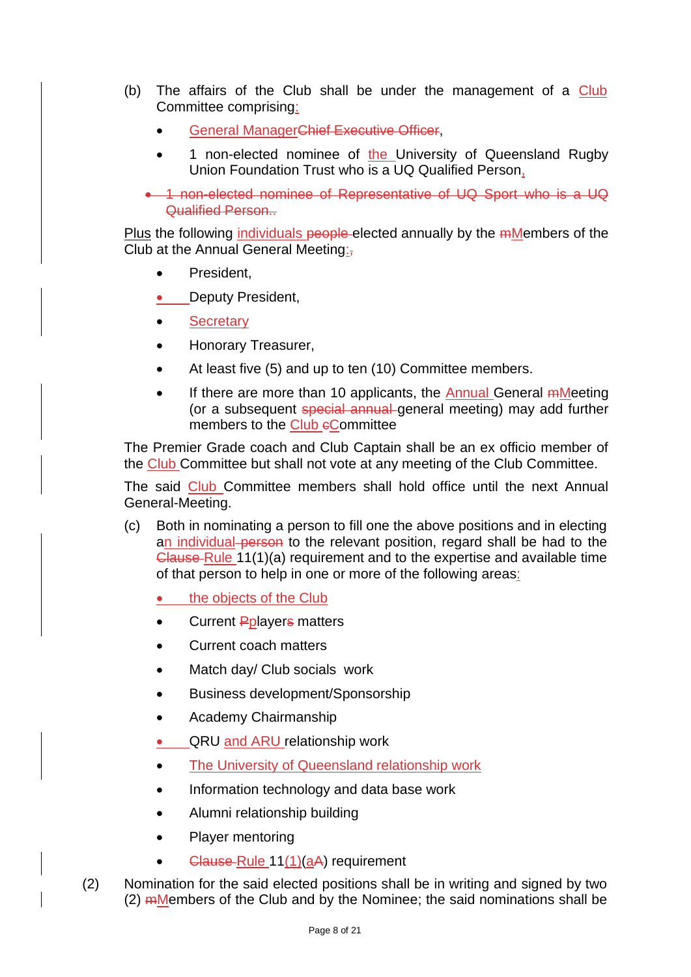- (b) The affairs of the Club shall be under the management of a Club Committee comprising:
	- General ManagerChief Executive Officer,
	- 1 non-elected nominee of the University of Queensland Rugby Union Foundation Trust who is a UQ Qualified Person,

• 1 non-elected nominee of Representative of UQ Sport who is a UQ Qualified Person..

Plus the following individuals people-elected annually by the mMembers of the Club at the Annual General Meeting:,

- President.
- Deputy President,
- Secretary
- Honorary Treasurer,
- At least five (5) and up to ten (10) Committee members.
- If there are more than 10 applicants, the Annual General mMeeting (or a subsequent special annual general meeting) may add further members to the Club eCommittee

The Premier Grade coach and Club Captain shall be an ex officio member of the Club Committee but shall not vote at any meeting of the Club Committee.

The said Club Committee members shall hold office until the next Annual General-Meeting.

- (c) Both in nominating a person to fill one the above positions and in electing an individual person to the relevant position, regard shall be had to the Clause Rule 11(1)(a) requirement and to the expertise and available time of that person to help in one or more of the following areas:
	- the objects of the Club
	- Current Pplayers matters
	- Current coach matters
	- Match day/ Club socials work
	- Business development/Sponsorship
	- Academy Chairmanship
	- QRU and ARU relationship work
	- The University of Queensland relationship work
	- Information technology and data base work
	- Alumni relationship building
	- Player mentoring
	- Clause Rule  $11(1)(aA)$  requirement
- (2) Nomination for the said elected positions shall be in writing and signed by two  $(2)$  mMembers of the Club and by the Nominee; the said nominations shall be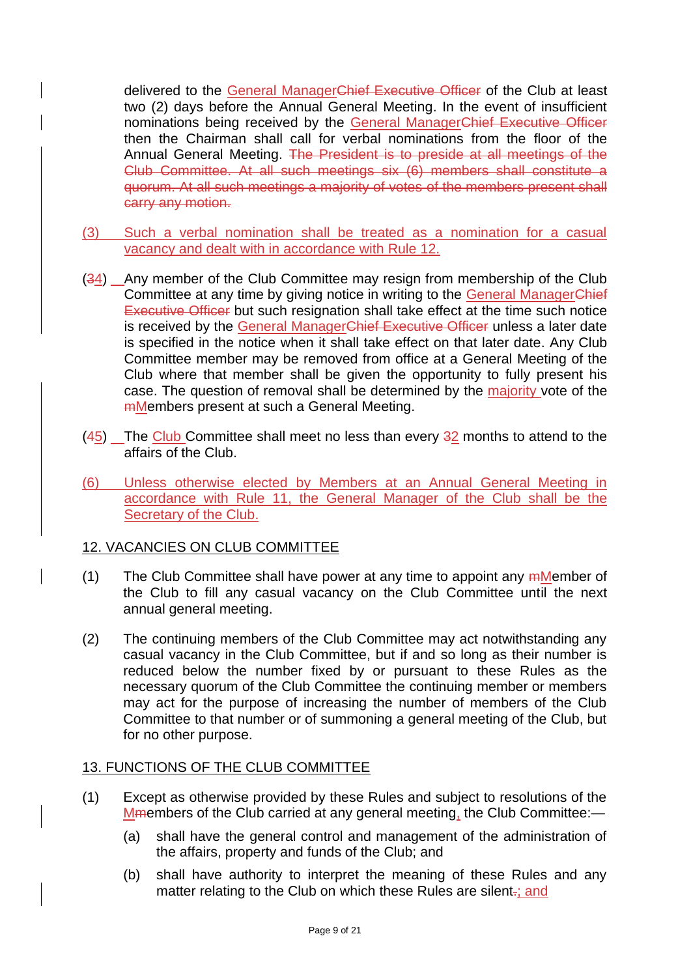delivered to the General ManagerChief Executive Officer of the Club at least two (2) days before the Annual General Meeting. In the event of insufficient nominations being received by the General ManagerChief Executive Officer then the Chairman shall call for verbal nominations from the floor of the Annual General Meeting. The President is to preside at all meetings of the Club Committee. At all such meetings six (6) members shall constitute a quorum. At all such meetings a majority of votes of the members present shall carry any motion.

- (3) Such a verbal nomination shall be treated as a nomination for a casual vacancy and dealt with in accordance with Rule 12.
- (34) Any member of the Club Committee may resign from membership of the Club Committee at any time by giving notice in writing to the General ManagerChief Executive Officer but such resignation shall take effect at the time such notice is received by the General ManagerChief Executive Officer unless a later date is specified in the notice when it shall take effect on that later date. Any Club Committee member may be removed from office at a General Meeting of the Club where that member shall be given the opportunity to fully present his case. The question of removal shall be determined by the majority vote of the mMembers present at such a General Meeting.
- (45) The Club Committee shall meet no less than every 32 months to attend to the affairs of the Club.
- (6) Unless otherwise elected by Members at an Annual General Meeting in accordance with Rule 11, the General Manager of the Club shall be the Secretary of the Club.

## 12. VACANCIES ON CLUB COMMITTEE

- (1) The Club Committee shall have power at any time to appoint any  $m$ Member of the Club to fill any casual vacancy on the Club Committee until the next annual general meeting.
- (2) The continuing members of the Club Committee may act notwithstanding any casual vacancy in the Club Committee, but if and so long as their number is reduced below the number fixed by or pursuant to these Rules as the necessary quorum of the Club Committee the continuing member or members may act for the purpose of increasing the number of members of the Club Committee to that number or of summoning a general meeting of the Club, but for no other purpose.

### 13. FUNCTIONS OF THE CLUB COMMITTEE

- (1) Except as otherwise provided by these Rules and subject to resolutions of the Mmembers of the Club carried at any general meeting, the Club Committee:—
	- (a) shall have the general control and management of the administration of the affairs, property and funds of the Club; and
	- (b) shall have authority to interpret the meaning of these Rules and any matter relating to the Club on which these Rules are silent-; and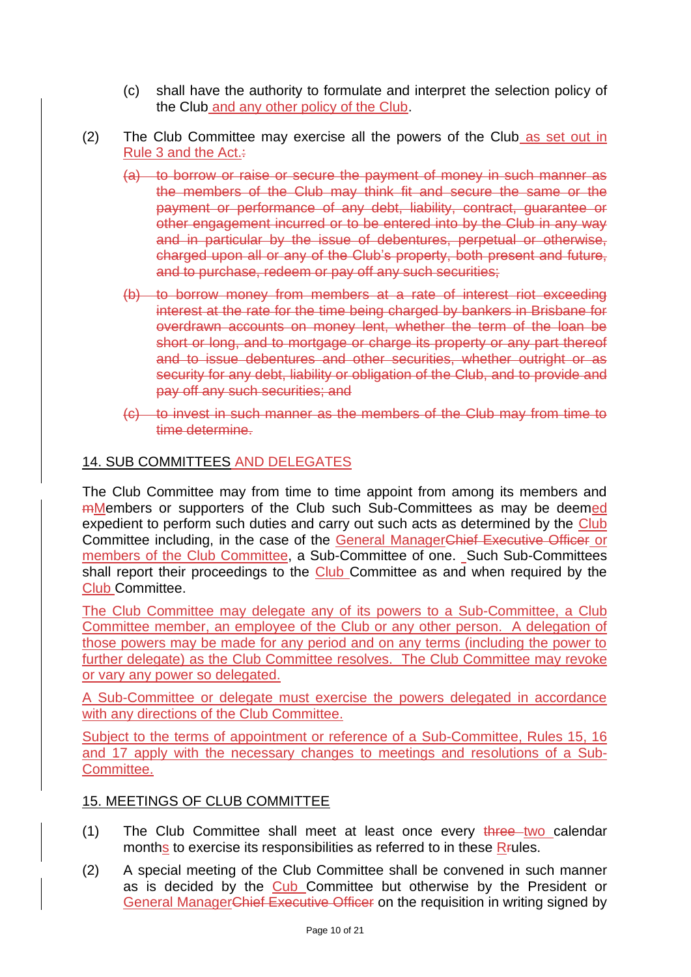- (c) shall have the authority to formulate and interpret the selection policy of the Club and any other policy of the Club.
- (2) The Club Committee may exercise all the powers of the Club as set out in Rule 3 and the Act.:
	- (a) to borrow or raise or secure the payment of money in such manner as the members of the Club may think fit and secure the same or the payment or performance of any debt, liability, contract, guarantee or other engagement incurred or to be entered into by the Club in any way and in particular by the issue of debentures, perpetual or otherwise, charged upon all or any of the Club's property, both present and future, and to purchase, redeem or pay off any such securities;
	- (b) to borrow money from members at a rate of interest riot exceeding interest at the rate for the time being charged by bankers in Brisbane for overdrawn accounts on money lent, whether the term of the loan be short or long, and to mortgage or charge its property or any part thereof and to issue debentures and other securities, whether outright or as security for any debt, liability or obligation of the Club, and to provide and pay off any such securities; and
	- (c) to invest in such manner as the members of the Club may from time to time determine.

### 14. SUB COMMITTEES AND DELEGATES

The Club Committee may from time to time appoint from among its members and mMembers or supporters of the Club such Sub-Committees as may be deemed expedient to perform such duties and carry out such acts as determined by the Club Committee including, in the case of the General ManagerChief Executive Officer or members of the Club Committee, a Sub-Committee of one. Such Sub-Committees shall report their proceedings to the Club Committee as and when required by the Club Committee.

The Club Committee may delegate any of its powers to a Sub-Committee, a Club Committee member, an employee of the Club or any other person. A delegation of those powers may be made for any period and on any terms (including the power to further delegate) as the Club Committee resolves. The Club Committee may revoke or vary any power so delegated.

A Sub-Committee or delegate must exercise the powers delegated in accordance with any directions of the Club Committee.

Subject to the terms of appointment or reference of a Sub-Committee, Rules 15, 16 and 17 apply with the necessary changes to meetings and resolutions of a Sub-Committee.

### 15. MEETINGS OF CLUB COMMITTEE

- (1) The Club Committee shall meet at least once every three two calendar months to exercise its responsibilities as referred to in these R<sub>FU</sub>les.
- (2) A special meeting of the Club Committee shall be convened in such manner as is decided by the Cub Committee but otherwise by the President or General ManagerChief Executive Officer on the requisition in writing signed by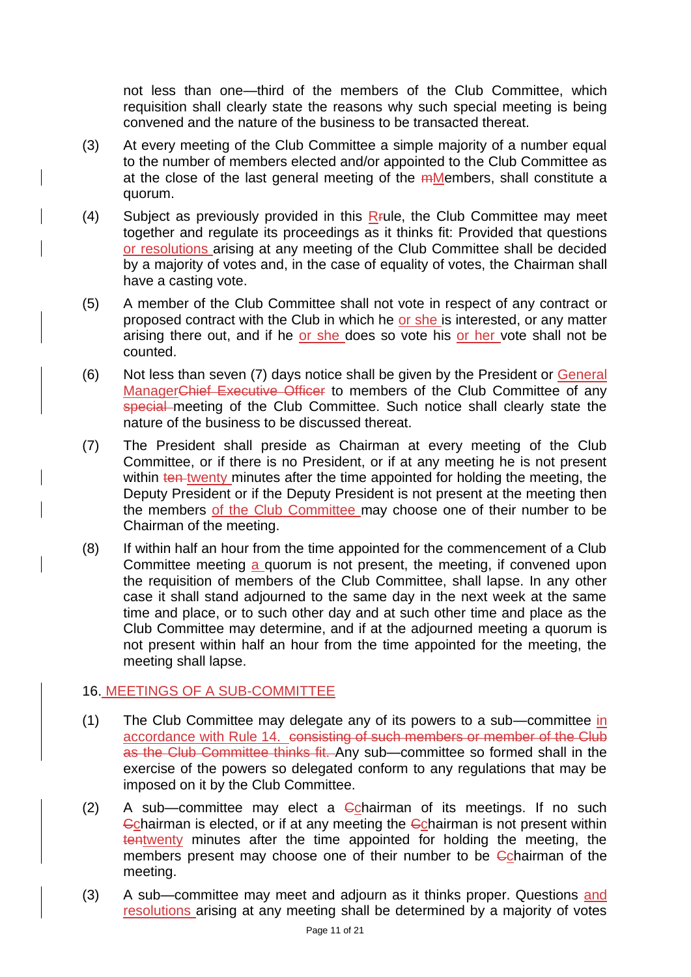not less than one—third of the members of the Club Committee, which requisition shall clearly state the reasons why such special meeting is being convened and the nature of the business to be transacted thereat.

- (3) At every meeting of the Club Committee a simple majority of a number equal to the number of members elected and/or appointed to the Club Committee as at the close of the last general meeting of the mMembers, shall constitute a quorum.
- (4) Subject as previously provided in this  $R$  *Fule*, the Club Committee may meet together and regulate its proceedings as it thinks fit: Provided that questions or resolutions arising at any meeting of the Club Committee shall be decided by a majority of votes and, in the case of equality of votes, the Chairman shall have a casting vote.
- (5) A member of the Club Committee shall not vote in respect of any contract or proposed contract with the Club in which he or she is interested, or any matter arising there out, and if he or she does so vote his or her vote shall not be counted.
- (6) Not less than seven (7) days notice shall be given by the President or General ManagerChief Executive Officer to members of the Club Committee of any special meeting of the Club Committee. Such notice shall clearly state the nature of the business to be discussed thereat.
- (7) The President shall preside as Chairman at every meeting of the Club Committee, or if there is no President, or if at any meeting he is not present within ten twenty minutes after the time appointed for holding the meeting, the Deputy President or if the Deputy President is not present at the meeting then the members of the Club Committee may choose one of their number to be Chairman of the meeting.
- (8) If within half an hour from the time appointed for the commencement of a Club Committee meeting a quorum is not present, the meeting, if convened upon the requisition of members of the Club Committee, shall lapse. In any other case it shall stand adjourned to the same day in the next week at the same time and place, or to such other day and at such other time and place as the Club Committee may determine, and if at the adjourned meeting a quorum is not present within half an hour from the time appointed for the meeting, the meeting shall lapse.

## 16. MEETINGS OF A SUB-COMMITTEE

- (1) The Club Committee may delegate any of its powers to a sub—committee in accordance with Rule 14. consisting of such members or member of the Club as the Club Committee thinks fit. Any sub—committee so formed shall in the exercise of the powers so delegated conform to any regulations that may be imposed on it by the Club Committee.
- $(2)$  A sub-committee may elect a Cochairman of its meetings. If no such Cchairman is elected, or if at any meeting the Cchairman is not present within tentwenty minutes after the time appointed for holding the meeting, the members present may choose one of their number to be Cchairman of the meeting.
- (3) A sub—committee may meet and adjourn as it thinks proper. Questions and resolutions arising at any meeting shall be determined by a majority of votes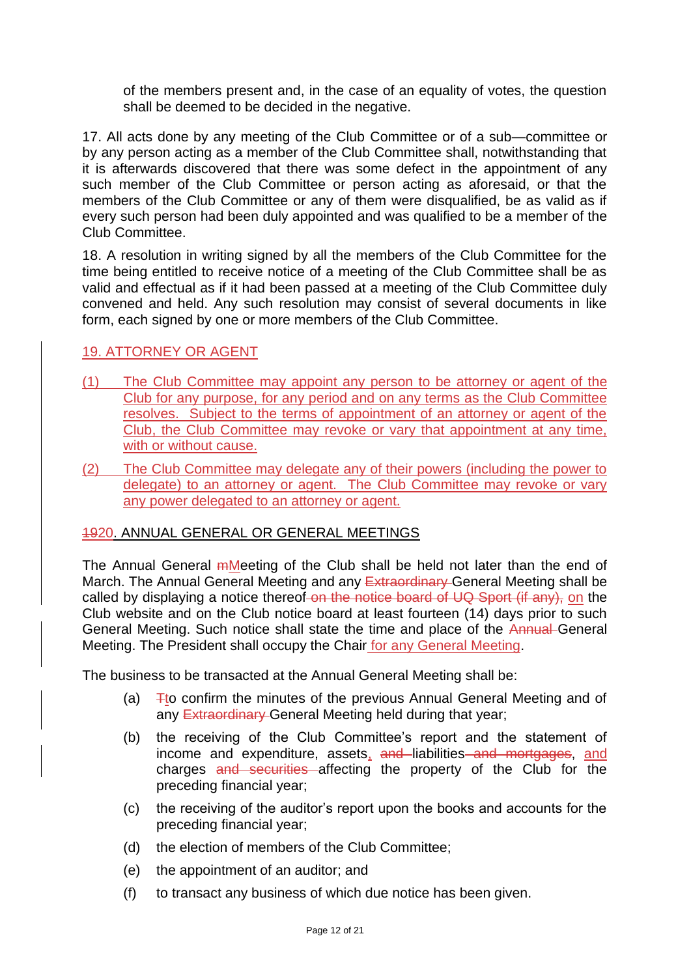of the members present and, in the case of an equality of votes, the question shall be deemed to be decided in the negative.

17. All acts done by any meeting of the Club Committee or of a sub—committee or by any person acting as a member of the Club Committee shall, notwithstanding that it is afterwards discovered that there was some defect in the appointment of any such member of the Club Committee or person acting as aforesaid, or that the members of the Club Committee or any of them were disqualified, be as valid as if every such person had been duly appointed and was qualified to be a member of the Club Committee.

18. A resolution in writing signed by all the members of the Club Committee for the time being entitled to receive notice of a meeting of the Club Committee shall be as valid and effectual as if it had been passed at a meeting of the Club Committee duly convened and held. Any such resolution may consist of several documents in like form, each signed by one or more members of the Club Committee.

### 19. ATTORNEY OR AGENT

- (1) The Club Committee may appoint any person to be attorney or agent of the Club for any purpose, for any period and on any terms as the Club Committee resolves. Subject to the terms of appointment of an attorney or agent of the Club, the Club Committee may revoke or vary that appointment at any time, with or without cause.
- (2) The Club Committee may delegate any of their powers (including the power to delegate) to an attorney or agent. The Club Committee may revoke or vary any power delegated to an attorney or agent.

## 1920. ANNUAL GENERAL OR GENERAL MEETINGS

The Annual General *mMeeting* of the Club shall be held not later than the end of March. The Annual General Meeting and any Extraordinary General Meeting shall be called by displaying a notice thereof-on the notice board of UQ Sport (if any), on the Club website and on the Club notice board at least fourteen (14) days prior to such General Meeting. Such notice shall state the time and place of the Annual General Meeting. The President shall occupy the Chair for any General Meeting.

The business to be transacted at the Annual General Meeting shall be:

- (a)  $\overline{F}$  Tto confirm the minutes of the previous Annual General Meeting and of any **Extraordinary** General Meeting held during that year;
- (b) the receiving of the Club Committee's report and the statement of income and expenditure, assets, and liabilities and mortgages, and charges and securities affecting the property of the Club for the preceding financial year;
- (c) the receiving of the auditor's report upon the books and accounts for the preceding financial year;
- (d) the election of members of the Club Committee;
- (e) the appointment of an auditor; and
- (f) to transact any business of which due notice has been given.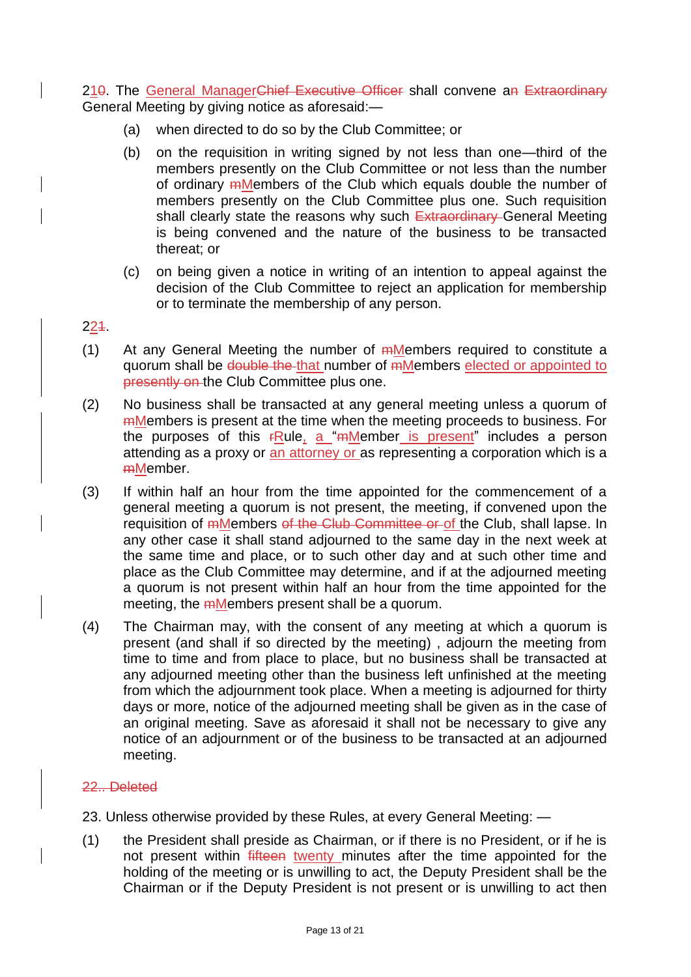210. The General ManagerChief Executive Officer shall convene an Extraordinary General Meeting by giving notice as aforesaid:—

- (a) when directed to do so by the Club Committee; or
- (b) on the requisition in writing signed by not less than one—third of the members presently on the Club Committee or not less than the number of ordinary mMembers of the Club which equals double the number of members presently on the Club Committee plus one. Such requisition shall clearly state the reasons why such Extraordinary General Meeting is being convened and the nature of the business to be transacted thereat; or
- (c) on being given a notice in writing of an intention to appeal against the decision of the Club Committee to reject an application for membership or to terminate the membership of any person.

### 221.

- (1) At any General Meeting the number of *Members required to constitute a* quorum shall be double the that number of mMembers elected or appointed to presently on the Club Committee plus one.
- (2) No business shall be transacted at any general meeting unless a quorum of mMembers is present at the time when the meeting proceeds to business. For the purposes of this  $rRule_1$  a "mMember is present" includes a person attending as a proxy or an attorney or as representing a corporation which is a mMember.
- (3) If within half an hour from the time appointed for the commencement of a general meeting a quorum is not present, the meeting, if convened upon the requisition of *mMembers of the Club Committee or of the Club*, shall lapse. In any other case it shall stand adjourned to the same day in the next week at the same time and place, or to such other day and at such other time and place as the Club Committee may determine, and if at the adjourned meeting a quorum is not present within half an hour from the time appointed for the meeting, the mMembers present shall be a quorum.
- (4) The Chairman may, with the consent of any meeting at which a quorum is present (and shall if so directed by the meeting) , adjourn the meeting from time to time and from place to place, but no business shall be transacted at any adjourned meeting other than the business left unfinished at the meeting from which the adjournment took place. When a meeting is adjourned for thirty days or more, notice of the adjourned meeting shall be given as in the case of an original meeting. Save as aforesaid it shall not be necessary to give any notice of an adjournment or of the business to be transacted at an adjourned meeting.

### 22.. Deleted

- 23. Unless otherwise provided by these Rules, at every General Meeting: —
- (1) the President shall preside as Chairman, or if there is no President, or if he is not present within fifteen twenty minutes after the time appointed for the holding of the meeting or is unwilling to act, the Deputy President shall be the Chairman or if the Deputy President is not present or is unwilling to act then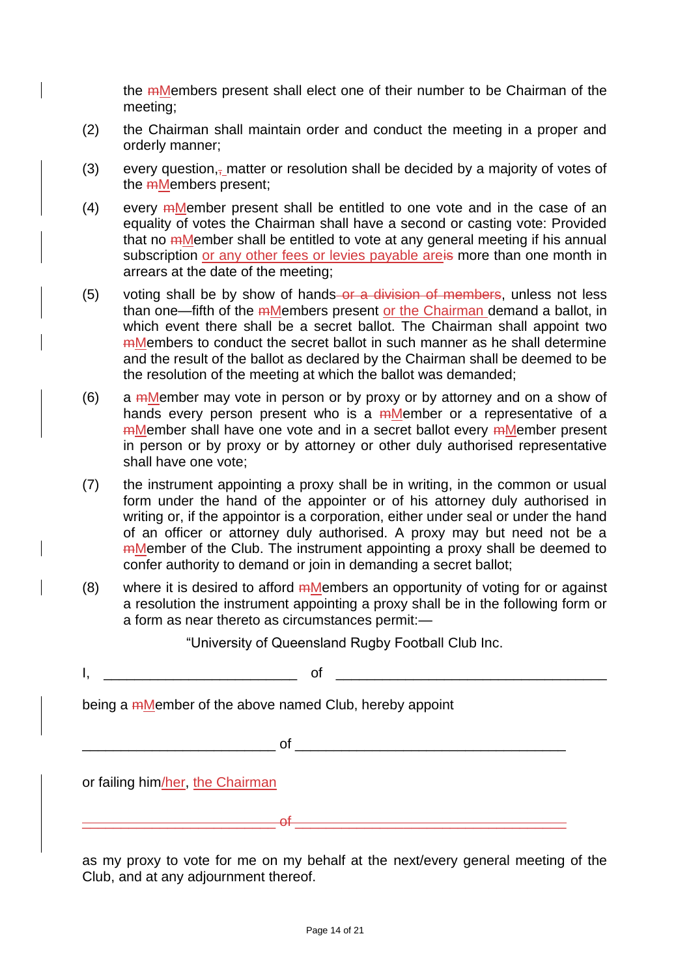the mMembers present shall elect one of their number to be Chairman of the meeting;

- (2) the Chairman shall maintain order and conduct the meeting in a proper and orderly manner;
- (3) every question, $\overline{z}$  matter or resolution shall be decided by a majority of votes of the mMembers present;
- $(4)$  every mMember present shall be entitled to one vote and in the case of an equality of votes the Chairman shall have a second or casting vote: Provided that no mMember shall be entitled to vote at any general meeting if his annual subscription or any other fees or levies payable areis more than one month in arrears at the date of the meeting;
- (5) voting shall be by show of hands-or a division of members, unless not less than one—fifth of the mMembers present or the Chairman demand a ballot, in which event there shall be a secret ballot. The Chairman shall appoint two mMembers to conduct the secret ballot in such manner as he shall determine and the result of the ballot as declared by the Chairman shall be deemed to be the resolution of the meeting at which the ballot was demanded;
- (6) a *ember may vote in person or by proxy or by attorney and on a show of* hands every person present who is a mMember or a representative of a mMember shall have one vote and in a secret ballot every mMember present in person or by proxy or by attorney or other duly authorised representative shall have one vote;
- (7) the instrument appointing a proxy shall be in writing, in the common or usual form under the hand of the appointer or of his attorney duly authorised in writing or, if the appointor is a corporation, either under seal or under the hand of an officer or attorney duly authorised. A proxy may but need not be a mMember of the Club. The instrument appointing a proxy shall be deemed to confer authority to demand or join in demanding a secret ballot;
- $(8)$  where it is desired to afford  $m$ Members an opportunity of voting for or against a resolution the instrument appointing a proxy shall be in the following form or a form as near thereto as circumstances permit:—

"University of Queensland Rugby Football Club Inc.

 $\mathsf{I}, \mathsf{I}$ 

being a <del>m</del>Member of the above named Club, hereby appoint

 $\circ$  of  $\circ$ 

or failing him/her, the Chairman

as my proxy to vote for me on my behalf at the next/every general meeting of the Club, and at any adjournment thereof.

\_\_\_\_\_\_\_\_\_\_\_\_\_\_\_\_\_\_\_\_\_\_\_\_\_ of \_\_\_\_\_\_\_\_\_\_\_\_\_\_\_\_\_\_\_\_\_\_\_\_\_\_\_\_\_\_\_\_\_\_\_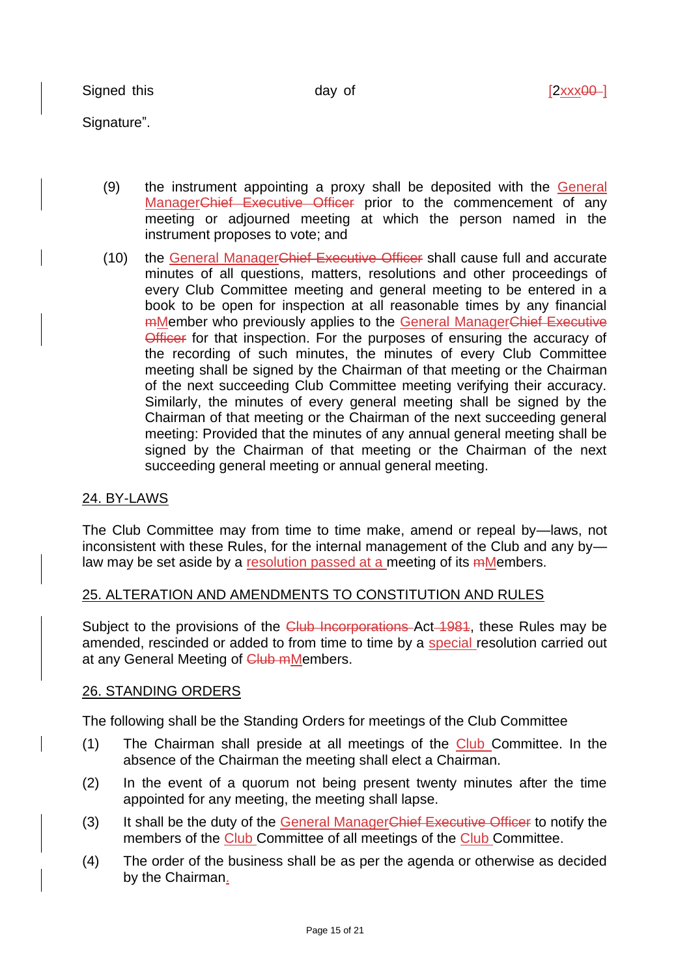Signed this  $day$  of  $[2xxx00-]$ 

Signature".

- (9) the instrument appointing a proxy shall be deposited with the General ManagerChief Executive Officer prior to the commencement of any meeting or adjourned meeting at which the person named in the instrument proposes to vote; and
- (10) the General ManagerChief Executive Officer shall cause full and accurate minutes of all questions, matters, resolutions and other proceedings of every Club Committee meeting and general meeting to be entered in a book to be open for inspection at all reasonable times by any financial mMember who previously applies to the General ManagerChief Executive Officer for that inspection. For the purposes of ensuring the accuracy of the recording of such minutes, the minutes of every Club Committee meeting shall be signed by the Chairman of that meeting or the Chairman of the next succeeding Club Committee meeting verifying their accuracy. Similarly, the minutes of every general meeting shall be signed by the Chairman of that meeting or the Chairman of the next succeeding general meeting: Provided that the minutes of any annual general meeting shall be signed by the Chairman of that meeting or the Chairman of the next succeeding general meeting or annual general meeting.

## 24. BY-LAWS

The Club Committee may from time to time make, amend or repeal by—laws, not inconsistent with these Rules, for the internal management of the Club and any by law may be set aside by a resolution passed at a meeting of its mMembers.

### 25. ALTERATION AND AMENDMENTS TO CONSTITUTION AND RULES

Subject to the provisions of the Club Incorporations Act 1981, these Rules may be amended, rescinded or added to from time to time by a special resolution carried out at any General Meeting of Club mMembers.

### 26. STANDING ORDERS

The following shall be the Standing Orders for meetings of the Club Committee

- (1) The Chairman shall preside at all meetings of the Club Committee. In the absence of the Chairman the meeting shall elect a Chairman.
- (2) In the event of a quorum not being present twenty minutes after the time appointed for any meeting, the meeting shall lapse.
- (3) It shall be the duty of the General ManagerChief Executive Officer to notify the members of the Club Committee of all meetings of the Club Committee.
- (4) The order of the business shall be as per the agenda or otherwise as decided by the Chairman.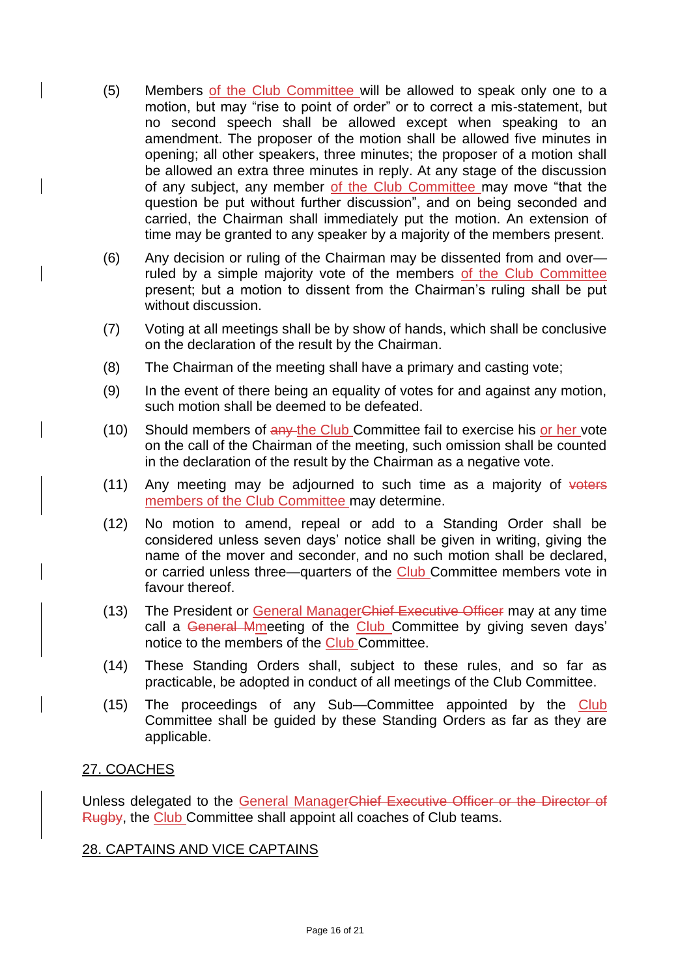- (5) Members of the Club Committee will be allowed to speak only one to a motion, but may "rise to point of order" or to correct a mis-statement, but no second speech shall be allowed except when speaking to an amendment. The proposer of the motion shall be allowed five minutes in opening; all other speakers, three minutes; the proposer of a motion shall be allowed an extra three minutes in reply. At any stage of the discussion of any subject, any member of the Club Committee may move "that the question be put without further discussion", and on being seconded and carried, the Chairman shall immediately put the motion. An extension of time may be granted to any speaker by a majority of the members present.
- (6) Any decision or ruling of the Chairman may be dissented from and over ruled by a simple majority vote of the members of the Club Committee present; but a motion to dissent from the Chairman's ruling shall be put without discussion.
- (7) Voting at all meetings shall be by show of hands, which shall be conclusive on the declaration of the result by the Chairman.
- (8) The Chairman of the meeting shall have a primary and casting vote;
- (9) In the event of there being an equality of votes for and against any motion, such motion shall be deemed to be defeated.
- (10) Should members of any the Club Committee fail to exercise his or her vote on the call of the Chairman of the meeting, such omission shall be counted in the declaration of the result by the Chairman as a negative vote.
- $(11)$  Any meeting may be adjourned to such time as a majority of voters members of the Club Committee may determine.
- (12) No motion to amend, repeal or add to a Standing Order shall be considered unless seven days' notice shall be given in writing, giving the name of the mover and seconder, and no such motion shall be declared, or carried unless three—quarters of the Club Committee members vote in favour thereof.
- (13) The President or General ManagerChief Executive Officer may at any time call a General Mmeeting of the Club Committee by giving seven days' notice to the members of the Club Committee.
- (14) These Standing Orders shall, subject to these rules, and so far as practicable, be adopted in conduct of all meetings of the Club Committee.
- (15) The proceedings of any Sub—Committee appointed by the Club Committee shall be guided by these Standing Orders as far as they are applicable.

## 27. COACHES

Unless delegated to the General ManagerChief Executive Officer or the Director of Rugby, the Club Committee shall appoint all coaches of Club teams.

### 28. CAPTAINS AND VICE CAPTAINS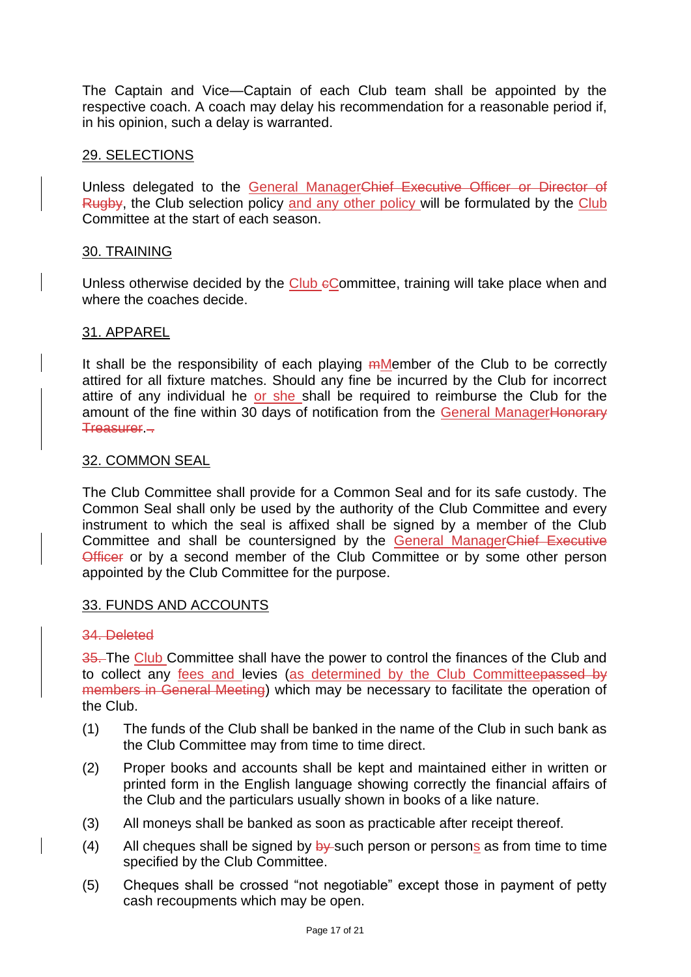The Captain and Vice—Captain of each Club team shall be appointed by the respective coach. A coach may delay his recommendation for a reasonable period if, in his opinion, such a delay is warranted.

### 29. SELECTIONS

Unless delegated to the General ManagerChief Executive Officer or Director of Rugby, the Club selection policy and any other policy will be formulated by the Club Committee at the start of each season.

#### 30. TRAINING

Unless otherwise decided by the Club eCommittee, training will take place when and where the coaches decide.

#### 31. APPAREL

It shall be the responsibility of each playing mMember of the Club to be correctly attired for all fixture matches. Should any fine be incurred by the Club for incorrect attire of any individual he or she shall be required to reimburse the Club for the amount of the fine within 30 days of notification from the General ManagerHonorary Treasurer. .

#### 32. COMMON SEAL

The Club Committee shall provide for a Common Seal and for its safe custody. The Common Seal shall only be used by the authority of the Club Committee and every instrument to which the seal is affixed shall be signed by a member of the Club Committee and shall be countersigned by the General ManagerChief Executive Officer or by a second member of the Club Committee or by some other person appointed by the Club Committee for the purpose.

#### 33. FUNDS AND ACCOUNTS

#### 34. Deleted

35. The Club Committee shall have the power to control the finances of the Club and to collect any fees and levies (as determined by the Club Committeepassed by members in General Meeting) which may be necessary to facilitate the operation of the Club.

- (1) The funds of the Club shall be banked in the name of the Club in such bank as the Club Committee may from time to time direct.
- (2) Proper books and accounts shall be kept and maintained either in written or printed form in the English language showing correctly the financial affairs of the Club and the particulars usually shown in books of a like nature.
- (3) All moneys shall be banked as soon as practicable after receipt thereof.
- (4) All cheques shall be signed by  $\frac{1}{2}$  such person or persons as from time to time specified by the Club Committee.
- (5) Cheques shall be crossed "not negotiable" except those in payment of petty cash recoupments which may be open.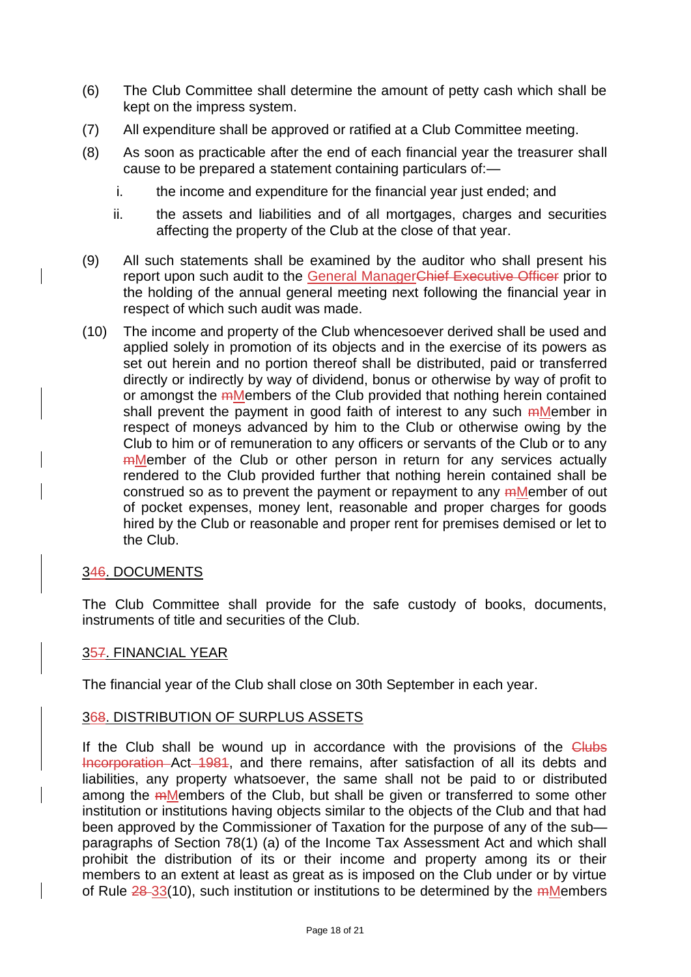- (6) The Club Committee shall determine the amount of petty cash which shall be kept on the impress system.
- (7) All expenditure shall be approved or ratified at a Club Committee meeting.
- (8) As soon as practicable after the end of each financial year the treasurer shall cause to be prepared a statement containing particulars of:
	- i. the income and expenditure for the financial year just ended; and
	- ii. the assets and liabilities and of all mortgages, charges and securities affecting the property of the Club at the close of that year.
- (9) All such statements shall be examined by the auditor who shall present his report upon such audit to the General ManagerChief Executive Officer prior to the holding of the annual general meeting next following the financial year in respect of which such audit was made.
- (10) The income and property of the Club whencesoever derived shall be used and applied solely in promotion of its objects and in the exercise of its powers as set out herein and no portion thereof shall be distributed, paid or transferred directly or indirectly by way of dividend, bonus or otherwise by way of profit to or amongst the mMembers of the Club provided that nothing herein contained shall prevent the payment in good faith of interest to any such mMember in respect of moneys advanced by him to the Club or otherwise owing by the Club to him or of remuneration to any officers or servants of the Club or to any **mMember** of the Club or other person in return for any services actually rendered to the Club provided further that nothing herein contained shall be construed so as to prevent the payment or repayment to any mMember of out of pocket expenses, money lent, reasonable and proper charges for goods hired by the Club or reasonable and proper rent for premises demised or let to the Club.

### 346. DOCUMENTS

The Club Committee shall provide for the safe custody of books, documents, instruments of title and securities of the Club.

### 357. FINANCIAL YEAR

The financial year of the Club shall close on 30th September in each year.

### 368. DISTRIBUTION OF SURPLUS ASSETS

If the Club shall be wound up in accordance with the provisions of the Clubs Incorporation Act 1981, and there remains, after satisfaction of all its debts and liabilities, any property whatsoever, the same shall not be paid to or distributed among the mMembers of the Club, but shall be given or transferred to some other institution or institutions having objects similar to the objects of the Club and that had been approved by the Commissioner of Taxation for the purpose of any of the sub paragraphs of Section 78(1) (a) of the Income Tax Assessment Act and which shall prohibit the distribution of its or their income and property among its or their members to an extent at least as great as is imposed on the Club under or by virtue of Rule 28-33(10), such institution or institutions to be determined by the mMembers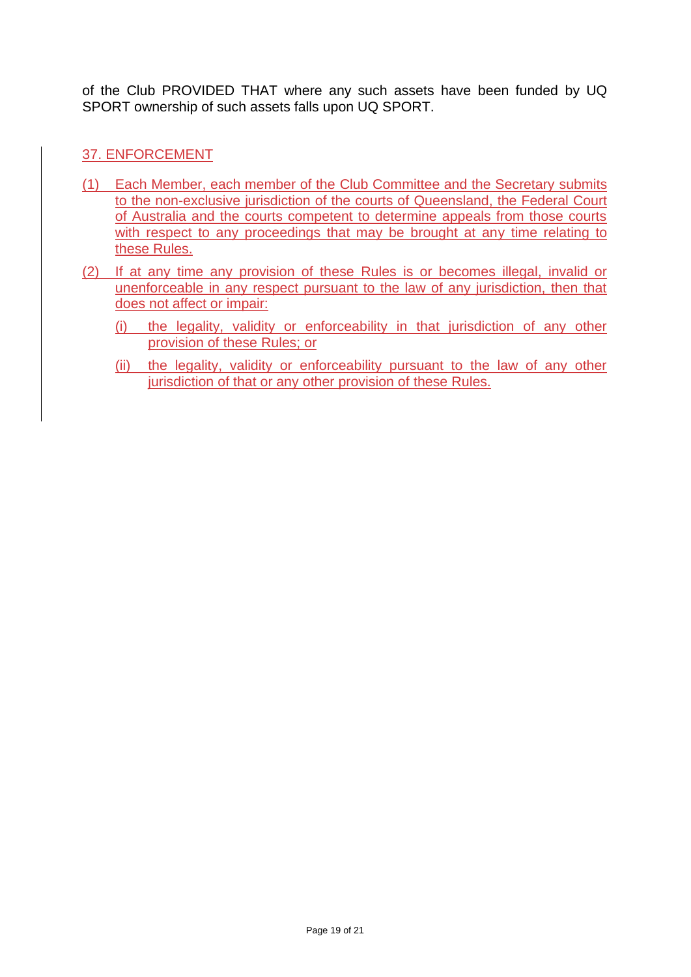of the Club PROVIDED THAT where any such assets have been funded by UQ SPORT ownership of such assets falls upon UQ SPORT.

### 37. ENFORCEMENT

- (1) Each Member, each member of the Club Committee and the Secretary submits to the non-exclusive jurisdiction of the courts of Queensland, the Federal Court of Australia and the courts competent to determine appeals from those courts with respect to any proceedings that may be brought at any time relating to these Rules.
- (2) If at any time any provision of these Rules is or becomes illegal, invalid or unenforceable in any respect pursuant to the law of any jurisdiction, then that does not affect or impair:
	- (i) the legality, validity or enforceability in that jurisdiction of any other provision of these Rules; or
	- (ii) the legality, validity or enforceability pursuant to the law of any other jurisdiction of that or any other provision of these Rules.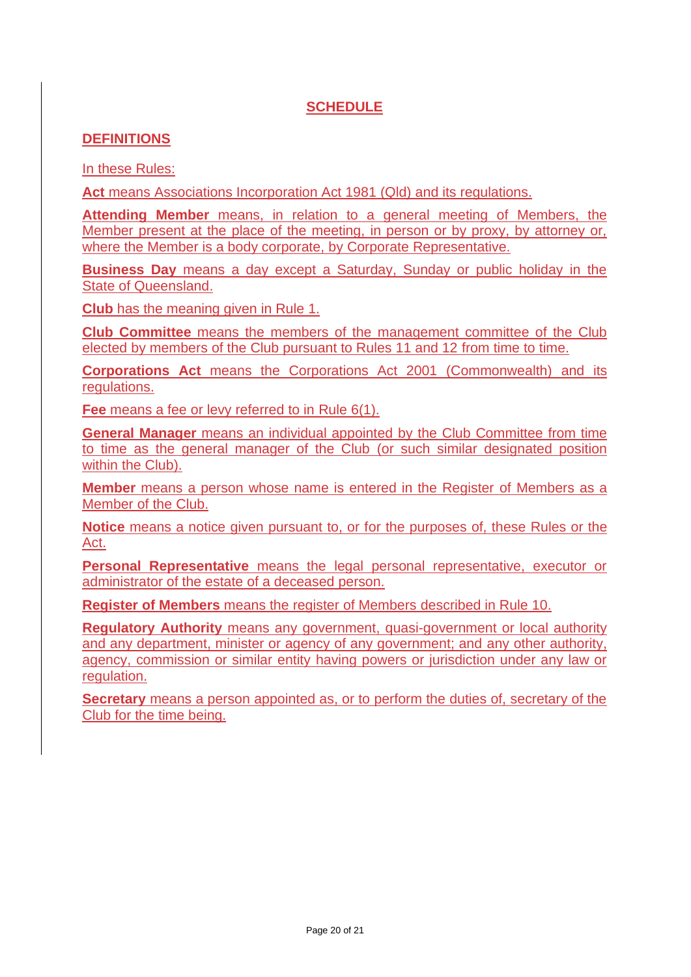# **SCHEDULE**

### **DEFINITIONS**

In these Rules:

**Act** means Associations Incorporation Act 1981 (Qld) and its regulations.

**Attending Member** means, in relation to a general meeting of Members, the Member present at the place of the meeting, in person or by proxy, by attorney or, where the Member is a body corporate, by Corporate Representative.

**Business Day** means a day except a Saturday, Sunday or public holiday in the State of Queensland.

**Club** has the meaning given in Rule 1.

**Club Committee** means the members of the management committee of the Club elected by members of the Club pursuant to Rules 11 and 12 from time to time.

**Corporations Act** means the Corporations Act 2001 (Commonwealth) and its regulations.

**Fee** means a fee or levy referred to in Rule 6(1).

**General Manager** means an individual appointed by the Club Committee from time to time as the general manager of the Club (or such similar designated position within the Club).

**Member** means a person whose name is entered in the Register of Members as a Member of the Club.

**Notice** means a notice given pursuant to, or for the purposes of, these Rules or the Act.

**Personal Representative** means the legal personal representative, executor or administrator of the estate of a deceased person.

**Register of Members** means the register of Members described in Rule 10.

**Regulatory Authority** means any government, quasi-government or local authority and any department, minister or agency of any government; and any other authority, agency, commission or similar entity having powers or jurisdiction under any law or regulation.

**Secretary** means a person appointed as, or to perform the duties of, secretary of the Club for the time being.